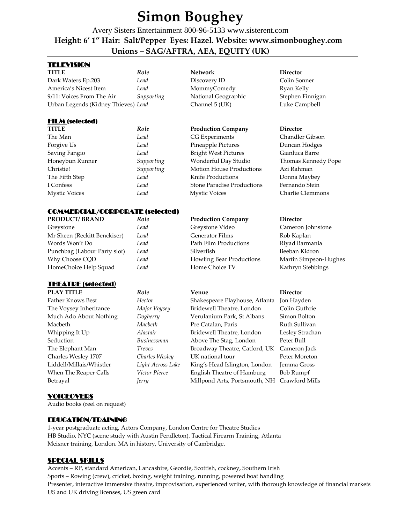# **Simon Boughey**

Avery Sisters Entertainment 800-96-5133 www.sisterent.com  **Height: 6' 1" Hair: Salt/Pepper Eyes: Hazel. Website: www.simonboughey.com Unions – SAG/AFTRA, AEA, EQUITY (UK)** 

## TELEVISION

| TITLE                               | Role       | <b>Network</b>      | <b>Director</b> |
|-------------------------------------|------------|---------------------|-----------------|
| Dark Waters Ep.203                  | Lead       | Discovery ID        | Colin So        |
| America's Nicest Item               | Lead       | MommyComedy         | Ryan Ke         |
| 9/11: Voices From The Air           | Supporting | National Geographic | Stephen         |
| Urban Legends (Kidney Thieves) Lead |            | Channel 5 (UK)      | Luke Ca         |

## FILM (selected)

| <b>TITLE</b>         | Role       | <b>Production Company</b>         | <b>Director</b>     |
|----------------------|------------|-----------------------------------|---------------------|
| The Man              | Lead       | CG Experiments                    | Chandler Gibson     |
| Forgive Us           | Lead       | Pineapple Pictures                | Duncan Hodges       |
| Saving Fangio        | Lead       | <b>Bright West Pictures</b>       | Gianluca Barre      |
| Honeybun Runner      | Supporting | Wonderful Day Studio              | Thomas Kennedy Pope |
| Christie!            | Supporting | <b>Motion House Productions</b>   | Azi Rahman          |
| The Fifth Step       | Lead       | Knife Productions                 | Donna Maybey        |
| I Confess            | Lead       | <b>Stone Paradise Productions</b> | Fernando Stein      |
| <b>Mystic Voices</b> | Lead       | <b>Mystic Voices</b>              | Charlie Clemmons    |

## COMMERCIAL/CORPORATE (selected)

| <b>PRODUCT/BRAND</b>         | Role | <b>Production Company</b> | <b>Director</b>       |
|------------------------------|------|---------------------------|-----------------------|
| Greystone                    | Lead | Greystone Video           | Cameron Johnstone     |
| Mr Sheen (Reckitt Benckiser) | Lead | <b>Generator Films</b>    | Rob Kaplan            |
| Words Won't Do               | Lead | Path Film Productions     | Riyad Barmania        |
| Punchbag (Labour Party slot) | Lead | Silverfish                | Beeban Kidron         |
| Why Choose CQD               | Lead | Howling Bear Productions  | Martin Simpson-Hughes |
| HomeChoice Help Squad        | Lead | Home Choice TV            | Kathryn Stebbings     |
|                              |      |                           |                       |

## THEATRE (selected**)**



## **PLAY TITLE** *Role* **Venue Director** Hector **Shakespeare Playhouse, Atlanta** Jon Hayden Major Voysey Bridewell Theatre, London Colin Guthrie Much Ado About Nothing *Dogberry* Verulanium Park, St Albans Simon Bolton *Macbeth* **Pre Catalan, Paris** Ruth Sullivan Alastair **Bridewell Theatre, London** Lesley Strachan Businessman Above The Stag, London Peter Bull Treves **Broadway Theatre, Catford, UK** Cameron Jack

### **Discovery ID** Colin Sonner MommyComedy Ryan Kelly 9/11: Voices From The Air *Supporting* National Geographic Stephen Finnigan Channel 5 (UK) Luke Campbell

Charles Wesley 1707 *Charles Wesley* UK national tour Peter Moreton Light Across Lake King's Head Islington, London Jemma Gross *Jerry* Millpond Arts, Portsmouth, NH Crawford Mills

## VOICEOVERS

Audio books (reel on request)

## EDUCATION/TRAINING

1-year postgraduate acting, Actors Company, London Centre for Theatre Studies HB Studio, NYC (scene study with Austin Pendleton). Tactical Firearm Training, Atlanta Meisner training, London. MA in history, University of Cambridge.

## SPECIAL SKILLS

Accents – RP, standard American, Lancashire, Geordie, Scottish, cockney, Southern Irish Sports – Rowing (crew), cricket, boxing, weight training, running, powered boat handling Presenter, interactive immersive theatre, improvisation, experienced writer, with thorough knowledge of financial markets US and UK driving licenses, US green card